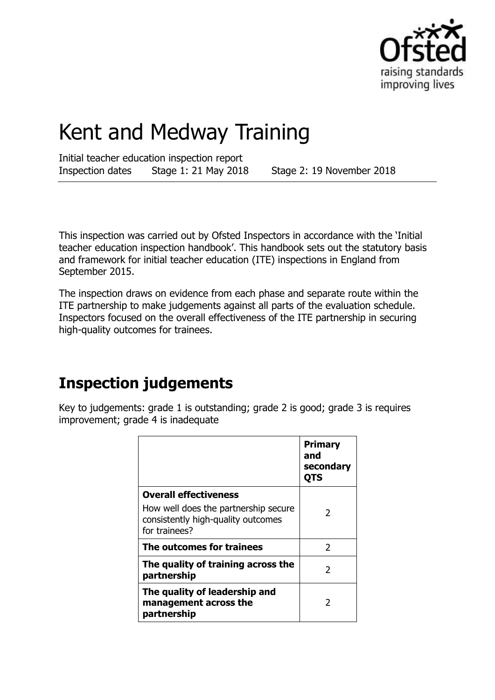

# Kent and Medway Training

Initial teacher education inspection report Inspection dates Stage 1: 21 May 2018 Stage 2: 19 November 2018

This inspection was carried out by Ofsted Inspectors in accordance with the 'Initial teacher education inspection handbook'. This handbook sets out the statutory basis and framework for initial teacher education (ITE) inspections in England from September 2015.

The inspection draws on evidence from each phase and separate route within the ITE partnership to make judgements against all parts of the evaluation schedule. Inspectors focused on the overall effectiveness of the ITE partnership in securing high-quality outcomes for trainees.

## **Inspection judgements**

Key to judgements: grade 1 is outstanding; grade 2 is good; grade 3 is requires improvement; grade 4 is inadequate

|                                                                                             | <b>Primary</b><br>and<br>secondary<br>QTS |
|---------------------------------------------------------------------------------------------|-------------------------------------------|
| <b>Overall effectiveness</b>                                                                |                                           |
| How well does the partnership secure<br>consistently high-quality outcomes<br>for trainees? |                                           |
| The outcomes for trainees                                                                   | 2                                         |
| The quality of training across the<br>partnership                                           | 2                                         |
| The quality of leadership and<br>management across the<br>partnership                       | 2                                         |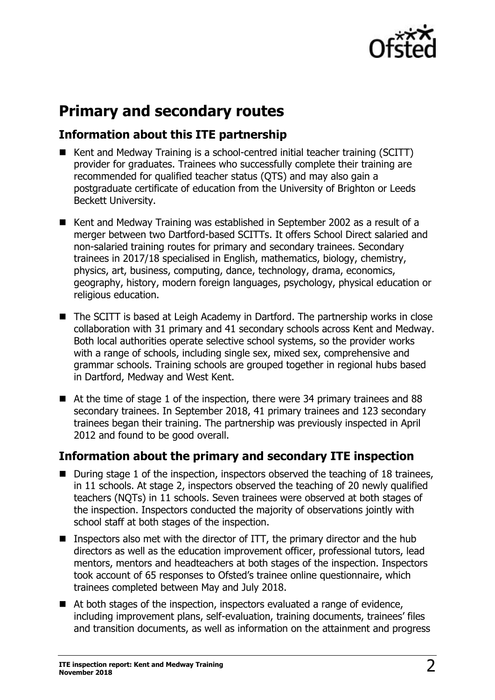

## **Primary and secondary routes**

## **Information about this ITE partnership**

- Kent and Medway Training is a school-centred initial teacher training (SCITT) provider for graduates. Trainees who successfully complete their training are recommended for qualified teacher status (QTS) and may also gain a postgraduate certificate of education from the University of Brighton or Leeds Beckett University.
- Kent and Medway Training was established in September 2002 as a result of a merger between two Dartford-based SCITTs. It offers School Direct salaried and non-salaried training routes for primary and secondary trainees. Secondary trainees in 2017/18 specialised in English, mathematics, biology, chemistry, physics, art, business, computing, dance, technology, drama, economics, geography, history, modern foreign languages, psychology, physical education or religious education.
- The SCITT is based at Leigh Academy in Dartford. The partnership works in close collaboration with 31 primary and 41 secondary schools across Kent and Medway. Both local authorities operate selective school systems, so the provider works with a range of schools, including single sex, mixed sex, comprehensive and grammar schools. Training schools are grouped together in regional hubs based in Dartford, Medway and West Kent.
- At the time of stage 1 of the inspection, there were 34 primary trainees and 88 secondary trainees. In September 2018, 41 primary trainees and 123 secondary trainees began their training. The partnership was previously inspected in April 2012 and found to be good overall.

### **Information about the primary and secondary ITE inspection**

- $\blacksquare$  During stage 1 of the inspection, inspectors observed the teaching of 18 trainees, in 11 schools. At stage 2, inspectors observed the teaching of 20 newly qualified teachers (NQTs) in 11 schools. Seven trainees were observed at both stages of the inspection. Inspectors conducted the majority of observations jointly with school staff at both stages of the inspection.
- **Inspectors also met with the director of ITT, the primary director and the hub** directors as well as the education improvement officer, professional tutors, lead mentors, mentors and headteachers at both stages of the inspection. Inspectors took account of 65 responses to Ofsted's trainee online questionnaire, which trainees completed between May and July 2018.
- At both stages of the inspection, inspectors evaluated a range of evidence, including improvement plans, self-evaluation, training documents, trainees' files and transition documents, as well as information on the attainment and progress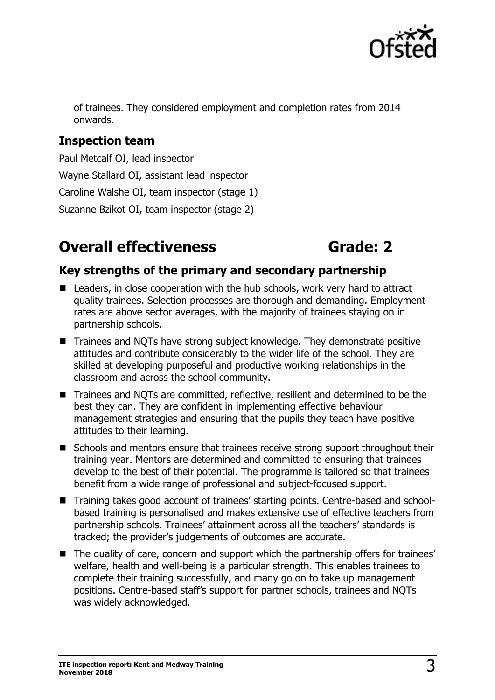

of trainees. They considered employment and completion rates from 2014 onwards.

## **Inspection team**

Paul Metcalf OI, lead inspector Wayne Stallard OI, assistant lead inspector Caroline Walshe OI, team inspector (stage 1) Suzanne Bzikot OI, team inspector (stage 2)

## **Overall effectiveness <b>Grade:** 2

## **Key strengths of the primary and secondary partnership**

- Leaders, in close cooperation with the hub schools, work very hard to attract quality trainees. Selection processes are thorough and demanding. Employment rates are above sector averages, with the majority of trainees staying on in partnership schools.
- Trainees and NOTs have strong subject knowledge. They demonstrate positive attitudes and contribute considerably to the wider life of the school. They are skilled at developing purposeful and productive working relationships in the classroom and across the school community.
- Trainees and NQTs are committed, reflective, resilient and determined to be the best they can. They are confident in implementing effective behaviour management strategies and ensuring that the pupils they teach have positive attitudes to their learning.
- Schools and mentors ensure that trainees receive strong support throughout their training year. Mentors are determined and committed to ensuring that trainees develop to the best of their potential. The programme is tailored so that trainees benefit from a wide range of professional and subject-focused support.
- Training takes good account of trainees' starting points. Centre-based and schoolbased training is personalised and makes extensive use of effective teachers from partnership schools. Trainees' attainment across all the teachers' standards is tracked; the provider's judgements of outcomes are accurate.
- The quality of care, concern and support which the partnership offers for trainees' welfare, health and well-being is a particular strength. This enables trainees to complete their training successfully, and many go on to take up management positions. Centre-based staff's support for partner schools, trainees and NQTs was widely acknowledged.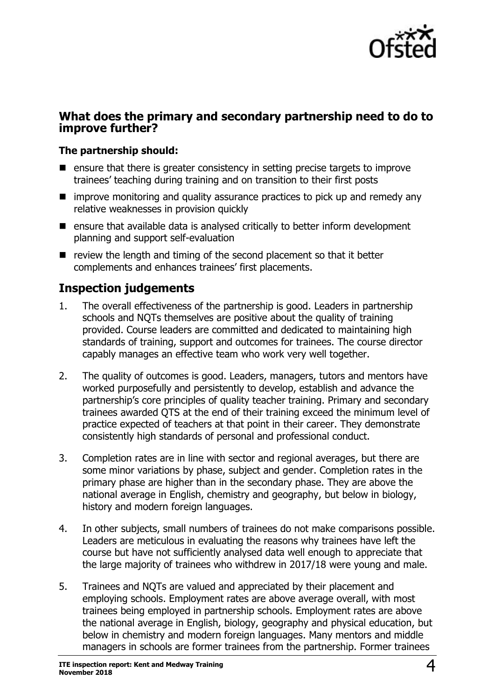

### **What does the primary and secondary partnership need to do to improve further?**

### **The partnership should:**

- **E** ensure that there is greater consistency in setting precise targets to improve trainees' teaching during training and on transition to their first posts
- $\blacksquare$  improve monitoring and quality assurance practices to pick up and remedy any relative weaknesses in provision quickly
- ensure that available data is analysed critically to better inform development planning and support self-evaluation
- $\blacksquare$  review the length and timing of the second placement so that it better complements and enhances trainees' first placements.

### **Inspection judgements**

- 1. The overall effectiveness of the partnership is good. Leaders in partnership schools and NQTs themselves are positive about the quality of training provided. Course leaders are committed and dedicated to maintaining high standards of training, support and outcomes for trainees. The course director capably manages an effective team who work very well together.
- 2. The quality of outcomes is good. Leaders, managers, tutors and mentors have worked purposefully and persistently to develop, establish and advance the partnership's core principles of quality teacher training. Primary and secondary trainees awarded QTS at the end of their training exceed the minimum level of practice expected of teachers at that point in their career. They demonstrate consistently high standards of personal and professional conduct.
- 3. Completion rates are in line with sector and regional averages, but there are some minor variations by phase, subject and gender. Completion rates in the primary phase are higher than in the secondary phase. They are above the national average in English, chemistry and geography, but below in biology, history and modern foreign languages.
- 4. In other subjects, small numbers of trainees do not make comparisons possible. Leaders are meticulous in evaluating the reasons why trainees have left the course but have not sufficiently analysed data well enough to appreciate that the large majority of trainees who withdrew in 2017/18 were young and male.
- 5. Trainees and NQTs are valued and appreciated by their placement and employing schools. Employment rates are above average overall, with most trainees being employed in partnership schools. Employment rates are above the national average in English, biology, geography and physical education, but below in chemistry and modern foreign languages. Many mentors and middle managers in schools are former trainees from the partnership. Former trainees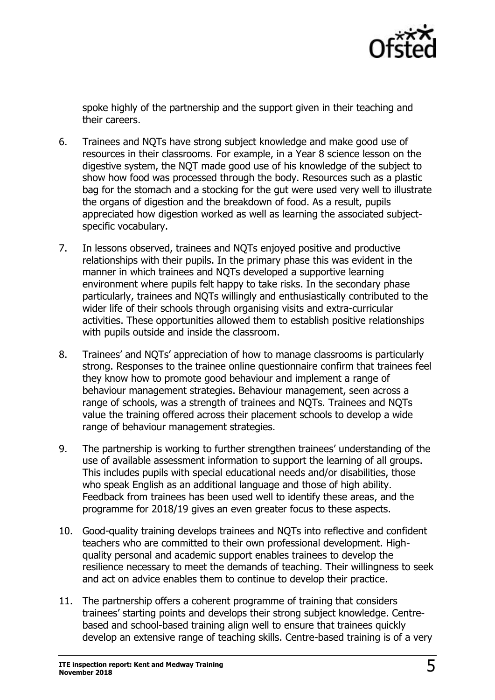

spoke highly of the partnership and the support given in their teaching and their careers.

- 6. Trainees and NQTs have strong subject knowledge and make good use of resources in their classrooms. For example, in a Year 8 science lesson on the digestive system, the NQT made good use of his knowledge of the subject to show how food was processed through the body. Resources such as a plastic bag for the stomach and a stocking for the gut were used very well to illustrate the organs of digestion and the breakdown of food. As a result, pupils appreciated how digestion worked as well as learning the associated subjectspecific vocabulary.
- 7. In lessons observed, trainees and NQTs enjoyed positive and productive relationships with their pupils. In the primary phase this was evident in the manner in which trainees and NQTs developed a supportive learning environment where pupils felt happy to take risks. In the secondary phase particularly, trainees and NQTs willingly and enthusiastically contributed to the wider life of their schools through organising visits and extra-curricular activities. These opportunities allowed them to establish positive relationships with pupils outside and inside the classroom.
- 8. Trainees' and NQTs' appreciation of how to manage classrooms is particularly strong. Responses to the trainee online questionnaire confirm that trainees feel they know how to promote good behaviour and implement a range of behaviour management strategies. Behaviour management, seen across a range of schools, was a strength of trainees and NQTs. Trainees and NQTs value the training offered across their placement schools to develop a wide range of behaviour management strategies.
- 9. The partnership is working to further strengthen trainees' understanding of the use of available assessment information to support the learning of all groups. This includes pupils with special educational needs and/or disabilities, those who speak English as an additional language and those of high ability. Feedback from trainees has been used well to identify these areas, and the programme for 2018/19 gives an even greater focus to these aspects.
- 10. Good-quality training develops trainees and NQTs into reflective and confident teachers who are committed to their own professional development. Highquality personal and academic support enables trainees to develop the resilience necessary to meet the demands of teaching. Their willingness to seek and act on advice enables them to continue to develop their practice.
- 11. The partnership offers a coherent programme of training that considers trainees' starting points and develops their strong subject knowledge. Centrebased and school-based training align well to ensure that trainees quickly develop an extensive range of teaching skills. Centre-based training is of a very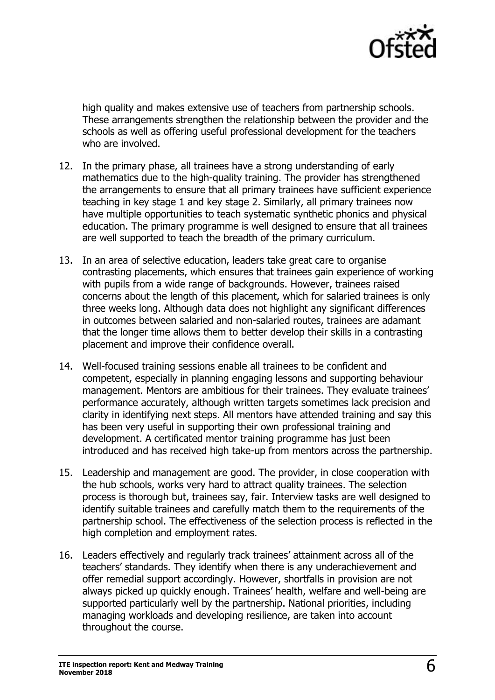

high quality and makes extensive use of teachers from partnership schools. These arrangements strengthen the relationship between the provider and the schools as well as offering useful professional development for the teachers who are involved.

- 12. In the primary phase, all trainees have a strong understanding of early mathematics due to the high-quality training. The provider has strengthened the arrangements to ensure that all primary trainees have sufficient experience teaching in key stage 1 and key stage 2. Similarly, all primary trainees now have multiple opportunities to teach systematic synthetic phonics and physical education. The primary programme is well designed to ensure that all trainees are well supported to teach the breadth of the primary curriculum.
- 13. In an area of selective education, leaders take great care to organise contrasting placements, which ensures that trainees gain experience of working with pupils from a wide range of backgrounds. However, trainees raised concerns about the length of this placement, which for salaried trainees is only three weeks long. Although data does not highlight any significant differences in outcomes between salaried and non-salaried routes, trainees are adamant that the longer time allows them to better develop their skills in a contrasting placement and improve their confidence overall.
- 14. Well-focused training sessions enable all trainees to be confident and competent, especially in planning engaging lessons and supporting behaviour management. Mentors are ambitious for their trainees. They evaluate trainees' performance accurately, although written targets sometimes lack precision and clarity in identifying next steps. All mentors have attended training and say this has been very useful in supporting their own professional training and development. A certificated mentor training programme has just been introduced and has received high take-up from mentors across the partnership.
- 15. Leadership and management are good. The provider, in close cooperation with the hub schools, works very hard to attract quality trainees. The selection process is thorough but, trainees say, fair. Interview tasks are well designed to identify suitable trainees and carefully match them to the requirements of the partnership school. The effectiveness of the selection process is reflected in the high completion and employment rates.
- 16. Leaders effectively and regularly track trainees' attainment across all of the teachers' standards. They identify when there is any underachievement and offer remedial support accordingly. However, shortfalls in provision are not always picked up quickly enough. Trainees' health, welfare and well-being are supported particularly well by the partnership. National priorities, including managing workloads and developing resilience, are taken into account throughout the course.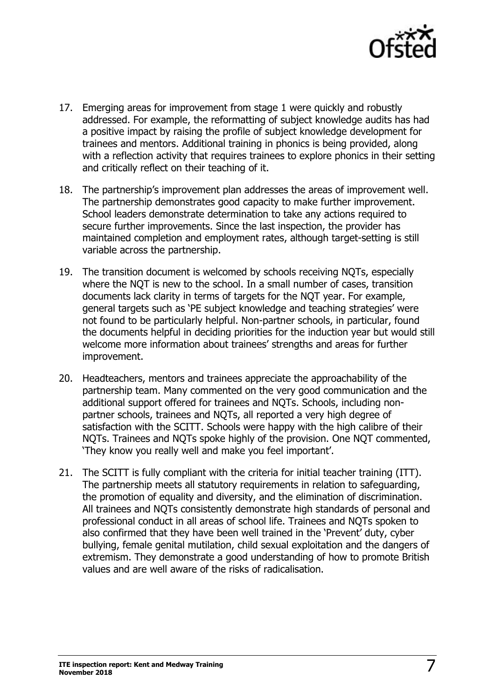

- 17. Emerging areas for improvement from stage 1 were quickly and robustly addressed. For example, the reformatting of subject knowledge audits has had a positive impact by raising the profile of subject knowledge development for trainees and mentors. Additional training in phonics is being provided, along with a reflection activity that requires trainees to explore phonics in their setting and critically reflect on their teaching of it.
- 18. The partnership's improvement plan addresses the areas of improvement well. The partnership demonstrates good capacity to make further improvement. School leaders demonstrate determination to take any actions required to secure further improvements. Since the last inspection, the provider has maintained completion and employment rates, although target-setting is still variable across the partnership.
- 19. The transition document is welcomed by schools receiving NQTs, especially where the NQT is new to the school. In a small number of cases, transition documents lack clarity in terms of targets for the NQT year. For example, general targets such as 'PE subject knowledge and teaching strategies' were not found to be particularly helpful. Non-partner schools, in particular, found the documents helpful in deciding priorities for the induction year but would still welcome more information about trainees' strengths and areas for further improvement.
- 20. Headteachers, mentors and trainees appreciate the approachability of the partnership team. Many commented on the very good communication and the additional support offered for trainees and NQTs. Schools, including nonpartner schools, trainees and NQTs, all reported a very high degree of satisfaction with the SCITT. Schools were happy with the high calibre of their NQTs. Trainees and NQTs spoke highly of the provision. One NQT commented, 'They know you really well and make you feel important'.
- 21. The SCITT is fully compliant with the criteria for initial teacher training (ITT). The partnership meets all statutory requirements in relation to safeguarding, the promotion of equality and diversity, and the elimination of discrimination. All trainees and NQTs consistently demonstrate high standards of personal and professional conduct in all areas of school life. Trainees and NQTs spoken to also confirmed that they have been well trained in the 'Prevent' duty, cyber bullying, female genital mutilation, child sexual exploitation and the dangers of extremism. They demonstrate a good understanding of how to promote British values and are well aware of the risks of radicalisation.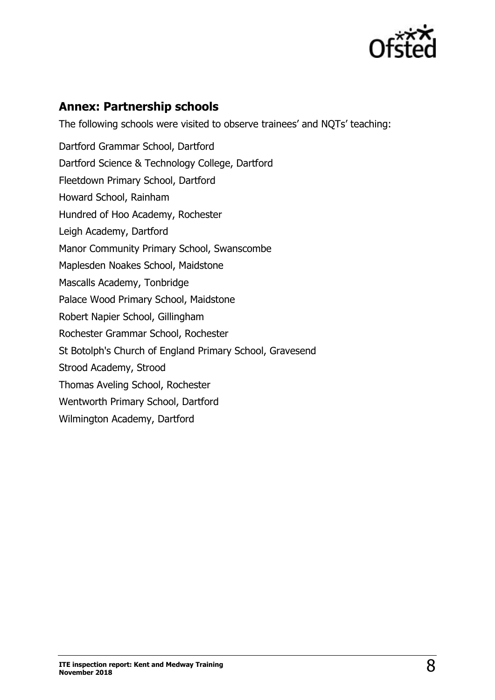

## **Annex: Partnership schools**

The following schools were visited to observe trainees' and NQTs' teaching: Dartford Grammar School, Dartford Dartford Science & Technology College, Dartford Fleetdown Primary School, Dartford Howard School, Rainham Hundred of Hoo Academy, Rochester Leigh Academy, Dartford Manor Community Primary School, Swanscombe Maplesden Noakes School, Maidstone Mascalls Academy, Tonbridge Palace Wood Primary School, Maidstone Robert Napier School, Gillingham Rochester Grammar School, Rochester St Botolph's Church of England Primary School, Gravesend Strood Academy, Strood Thomas Aveling School, Rochester Wentworth Primary School, Dartford Wilmington Academy, Dartford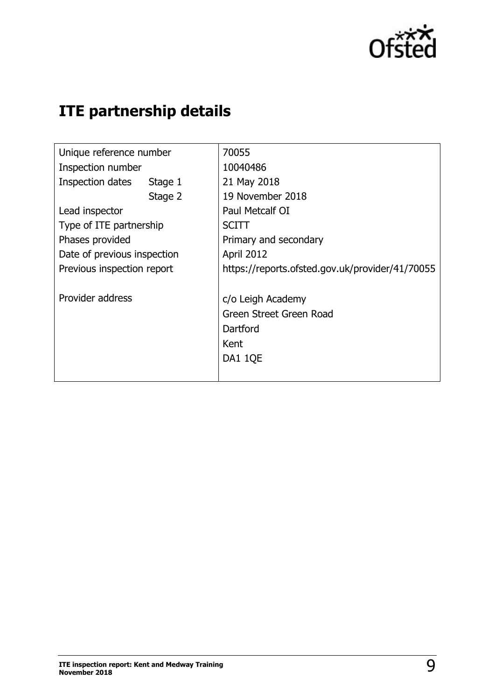

## **ITE partnership details**

| Unique reference number     | 70055                                           |
|-----------------------------|-------------------------------------------------|
| Inspection number           | 10040486                                        |
|                             |                                                 |
| Inspection dates<br>Stage 1 | 21 May 2018                                     |
| Stage 2                     | 19 November 2018                                |
| Lead inspector              | Paul Metcalf OI                                 |
| Type of ITE partnership     | <b>SCITT</b>                                    |
| Phases provided             | Primary and secondary                           |
| Date of previous inspection | April 2012                                      |
| Previous inspection report  | https://reports.ofsted.gov.uk/provider/41/70055 |
| Provider address            | c/o Leigh Academy                               |
|                             | Green Street Green Road                         |
|                             | Dartford                                        |
|                             | Kent                                            |
|                             | DA1 1QE                                         |
|                             |                                                 |